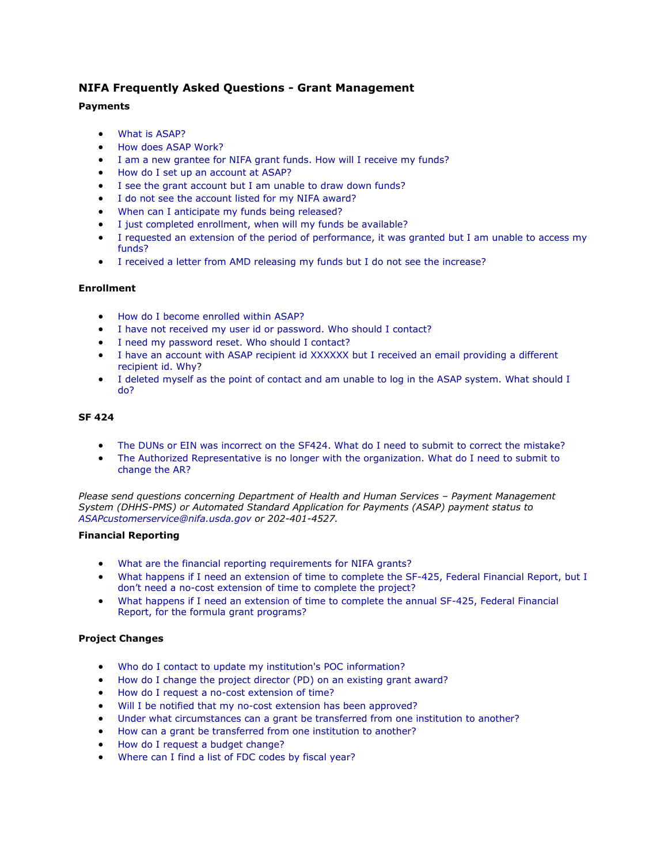# **NIFA Frequently Asked Questions - Grant Management**

# **Payments**

- What is ASAP?
- How does ASAP Work?
- I am a new grantee for NIFA grant funds. How will I receive my funds?
- How do I set up an account at ASAP?
- I see the grant account but I am unable to draw down funds?
- I do not see the account listed for my NIFA award?
- When can I anticipate my funds being released?
- I just completed enrollment, when will my funds be available?
- I requested an extension of the period of performance, it was granted but I am unable to access my funds?
- I received a letter from AMD releasing my funds but I do not see the increase?

# **Enrollment**

- How do I become enrolled within ASAP?
- [I have not received my user id or password. Who should I contact?](http://www.nifa.usda.gov/home/faq_grant_management.html#pw)
- I need my password reset. Who should I contact?
- I have an account with ASAP recipient id XXXXXX but I received an email providing a different recipient id. Why?
- I deleted myself as the point of contact and am unable to log in the ASAP system. What should I do?

# **SF 424**

- The DUNs or EIN was incorrect on the SF424. What do I need to submit to correct the mistake?
- The Authorized Representative is no longer with the organization. What do I need to submit to change the AR?

*Please send questions concerning Department of Health and Human Services – Payment Management System (DHHS-PMS) or Automated Standard Application for Payments (ASAP) payment status to [ASAPcustomerservice@nifa.usda.gov](mailto:ASAPcustomerservice@nifa.usda.gov) or 202-401-4527.*

# **Financial Reporting**

- What are the financial reporting requirements for NIFA grants?
- What happens if I need an extension of time to complete the SF-425, Federal Financial Report, but I don't need a no-cost extension of time to complete the project?
- What happens if I need an extension of time to complete the annual SF-425, Federal Financial Report, for the formula grant programs?

# **Project Changes**

- Who do I contact to update my institution's POC information?
- How do I change the project director (PD) on an existing grant award?
- How do I request a no-cost extension of time?
- Will I be notified that my no-cost extension has been approved?
- Under what circumstances can a grant be transferred from one institution to another?
- How can a grant be transferred from one institution to another?
- How do I request a budget change?
- Where can I find a list of FDC codes by fiscal year?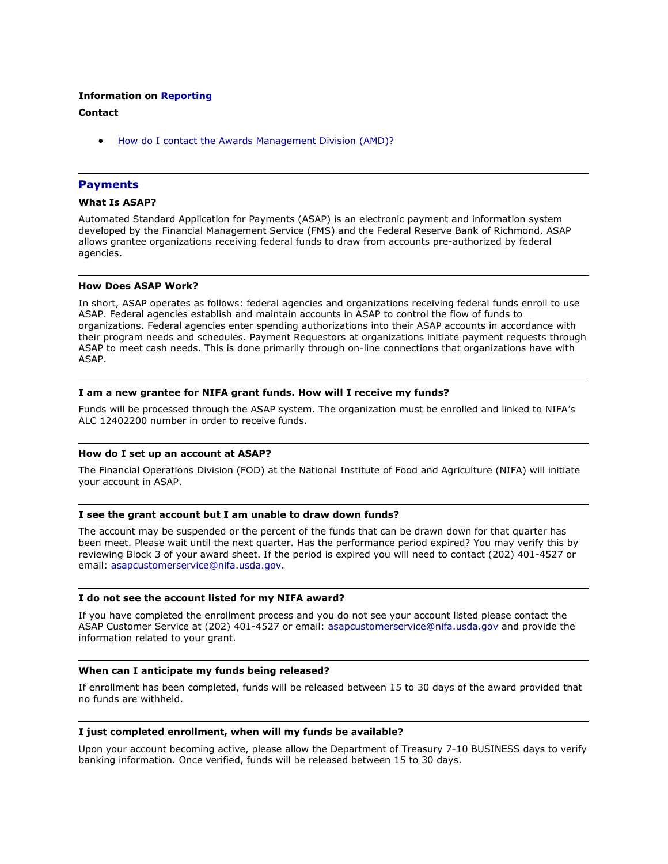## **Information on Reporting**

# **Contact**

How do I contact the Awards Management Division (AMD)?

# **Payments**

## **What Is ASAP?**

Automated Standard Application for Payments (ASAP) is an electronic payment and information system developed by the Financial Management Service (FMS) and the Federal Reserve Bank of Richmond. ASAP allows grantee organizations receiving federal funds to draw from accounts pre-authorized by federal agencies.

## **How Does ASAP Work?**

In short, ASAP operates as follows: federal agencies and organizations receiving federal funds enroll to use ASAP. Federal agencies establish and maintain accounts in ASAP to control the flow of funds to organizations. Federal agencies enter spending authorizations into their ASAP accounts in accordance with their program needs and schedules. Payment Requestors at organizations initiate payment requests through ASAP to meet cash needs. This is done primarily through on-line connections that organizations have with ASAP.

#### **I am a new grantee for NIFA grant funds. How will I receive my funds?**

Funds will be processed through the ASAP system. The organization must be enrolled and linked to NIFA's ALC 12402200 number in order to receive funds.

#### **How do I set up an account at ASAP?**

The Financial Operations Division (FOD) at the National Institute of Food and Agriculture (NIFA) will initiate your account in ASAP.

#### **I see the grant account but I am unable to draw down funds?**

The account may be suspended or the percent of the funds that can be drawn down for that quarter has been meet. Please wait until the next quarter. Has the performance period expired? You may verify this by reviewing Block 3 of your award sheet. If the period is expired you will need to contact (202) 401-4527 or email: [asapcustomerservice@nifa.usda.gov.](mailto:asapcustomerservice@nifa.usda.gov)

#### **I do not see the account listed for my NIFA award?**

If you have completed the enrollment process and you do not see your account listed please contact the ASAP Customer Service at (202) 401-4527 or email: [asapcustomerservice@nifa.usda.gov](mailto:asapcustomerservice@nifa.usda.gov) and provide the information related to your grant.

#### **When can I anticipate my funds being released?**

If enrollment has been completed, funds will be released between 15 to 30 days of the award provided that no funds are withheld.

## **I just completed enrollment, when will my funds be available?**

Upon your account becoming active, please allow the Department of Treasury 7-10 BUSINESS days to verify banking information. Once verified, funds will be released between 15 to 30 days.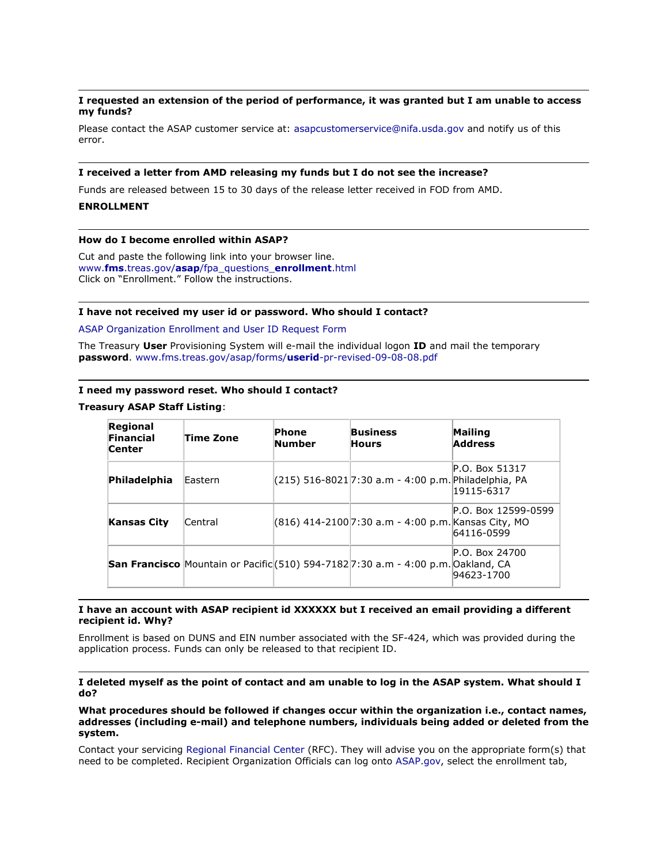# **I requested an extension of the period of performance, it was granted but I am unable to access my funds?**

Please contact the ASAP customer service at: [asapcustomerservice@nifa.usda.gov](mailto:asapcustomerservice@nifa.usda.gov) and notify us of this error.

#### **I received a letter from AMD releasing my funds but I do not see the increase?**

Funds are released between 15 to 30 days of the release letter received in FOD from AMD.

## **ENROLLMENT**

## **How do I become enrolled within ASAP?**

Cut and paste the following link into your browser line. www.**fms**.treas.gov/**asap**[/fpa\\_questions\\_](http://www.fms.treas.gov/asap/fpa_questions_enrollment.html)**enrollment**.html Click on "Enrollment." Follow the instructions.

#### **I have not received my user id or password. Who should I contact?**

[ASAP Organization Enrollment and User ID Request Form](http://www.fms.treas.gov/asap/forms/userid-pr-revised-09-08-08.pdf)

The Treasury **User** Provisioning System will e-mail the individual logon **ID** and mail the temporary **password**. [www.fms.treas.gov/asap/forms/](http://www.fms.treas.gov/asap/forms/userid-pr-revised-09-08-08.pdf)**userid**-pr-revised-09-08-08.pdf

#### **I need my password reset. Who should I contact?**

#### **Treasury ASAP Staff Listing**:

| Regional<br>Financial<br><b>Center</b> | Time Zone | Phone<br><b>Number</b> | <b>Business</b><br><b>Hours</b>                                                          | Mailing<br><b>Address</b>         |
|----------------------------------------|-----------|------------------------|------------------------------------------------------------------------------------------|-----------------------------------|
| Philadelphia                           | Eastern   |                        | (215) 516-8021 7:30 a.m - 4:00 p.m. Philadelphia, PA                                     | P.O. Box 51317<br>19115-6317      |
| <b>Kansas City</b>                     | Central   |                        | (816) 414-2100 7:30 a.m - 4:00 p.m. Kansas City, MO                                      | P.O. Box 12599-0599<br>64116-0599 |
|                                        |           |                        | <b>San Francisco</b> Mountain or Pacific (510) 594-7182 7:30 a.m - 4:00 p.m. Oakland, CA | P.O. Box 24700<br>94623-1700      |

#### **I have an account with ASAP recipient id XXXXXX but I received an email providing a different recipient id. Why?**

Enrollment is based on DUNS and EIN number associated with the SF-424, which was provided during the application process. Funds can only be released to that recipient ID.

**I deleted myself as the point of contact and am unable to log in the ASAP system. What should I do?**

**What procedures should be followed if changes occur within the organization i.e., contact names, addresses (including e-mail) and telephone numbers, individuals being added or deleted from the system.**

Contact your servicing [Regional Financial Center](http://www.fms.treas.gov/asap/contacts.html) (RFC). They will advise you on the appropriate form(s) that need to be completed. Recipient Organization Officials can log onto [ASAP.gov,](https://www.asap.gov/) select the enrollment tab,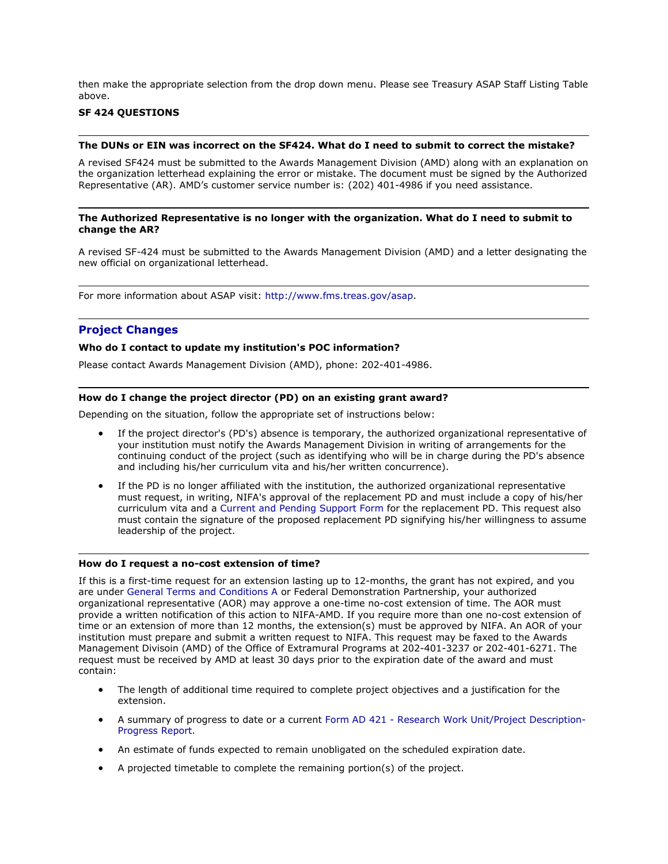then make the appropriate selection from the drop down menu. Please see Treasury ASAP Staff Listing Table above.

# **SF 424 QUESTIONS**

#### **The DUNs or EIN was incorrect on the SF424. What do I need to submit to correct the mistake?**

A revised SF424 must be submitted to the Awards Management Division (AMD) along with an explanation on the organization letterhead explaining the error or mistake. The document must be signed by the Authorized Representative (AR). AMD's customer service number is: (202) 401-4986 if you need assistance.

#### **The Authorized Representative is no longer with the organization. What do I need to submit to change the AR?**

A revised SF-424 must be submitted to the Awards Management Division (AMD) and a letter designating the new official on organizational letterhead.

For more information about ASAP visit: [http://www.fms.treas.gov/asap.](http://www.fms.treas.gov/asap)

# **Project Changes**

## **Who do I contact to update my institution's POC information?**

Please contact Awards Management Division (AMD), phone: 202-401-4986.

### **How do I change the project director (PD) on an existing grant award?**

Depending on the situation, follow the appropriate set of instructions below:

- If the project director's (PD's) absence is temporary, the authorized organizational representative of your institution must notify the Awards Management Division in writing of arrangements for the continuing conduct of the project (such as identifying who will be in charge during the PD's absence and including his/her curriculum vita and his/her written concurrence).
- If the PD is no longer affiliated with the institution, the authorized organizational representative must request, in writing, NIFA's approval of the replacement PD and must include a copy of his/her curriculum vita and a [Current and Pending Support Form f](http://www.nifa.usda.gov/business/businessfaqs/nifa_2005.pdf)or the replacement PD. This request also must contain the signature of the proposed replacement PD signifying his/her willingness to assume leadership of the project.

#### **How do I request a no-cost extension of time?**

If this is a first-time request for an extension lasting up to 12-months, the grant has not expired, and you are under [General Terms and Conditions A o](http://www.nifa.usda.gov/business/awards/awardterms.html)r Federal Demonstration Partnership, your authorized organizational representative (AOR) may approve a one-time no-cost extension of time. The AOR must provide a written notification of this action to NIFA-AMD. If you require more than one no-cost extension of time or an extension of more than 12 months, the extension(s) must be approved by NIFA. An AOR of your institution must prepare and submit a written request to NIFA. This request may be faxed to the Awards Management Divisoin (AMD) of the Office of Extramural Programs at 202-401-3237 or 202-401-6271. The request must be received by AMD at least 30 days prior to the expiration date of the award and must contain:

- The length of additional time required to complete project objectives and a justification for the extension.
- A summary of progress to date or a current Form AD 421 [Research Work Unit/Project Description-](http://cwf.uvm.edu/cris/ad-421_2pages_2.pdf)[Progress Report.](http://cwf.uvm.edu/cris/ad-421_2pages_2.pdf)
- An estimate of funds expected to remain unobligated on the scheduled expiration date.
- A projected timetable to complete the remaining portion(s) of the project.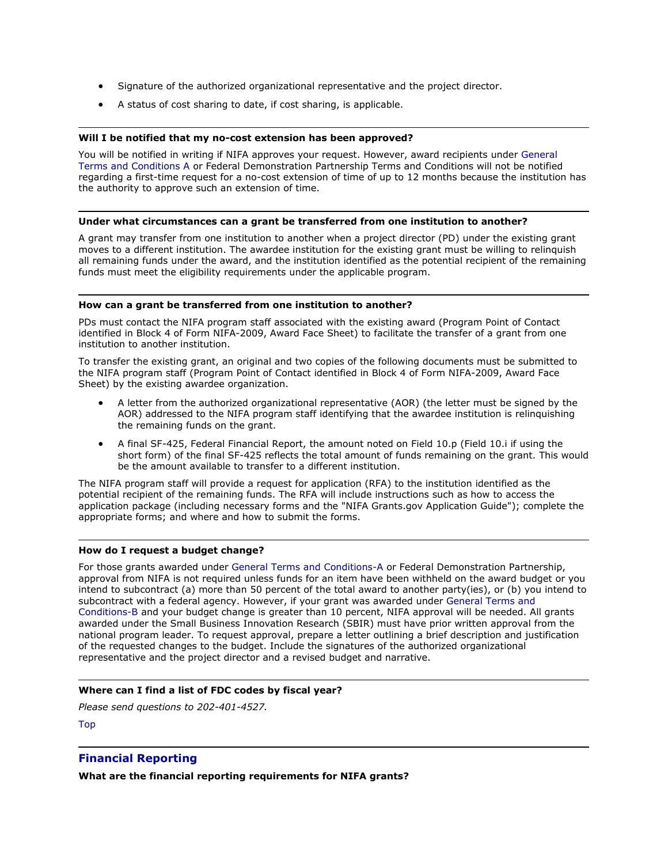- Signature of the authorized organizational representative and the project director.
- A status of cost sharing to date, if cost sharing, is applicable.

# **Will I be notified that my no-cost extension has been approved?**

You will be notified in writing if NIFA approves your request. However, award recipients under [General](http://www.nifa.usda.gov/business/awards/awardterms.html)  [Terms and Conditions A o](http://www.nifa.usda.gov/business/awards/awardterms.html)r Federal Demonstration Partnership Terms and Conditions will not be notified regarding a first-time request for a no-cost extension of time of up to 12 months because the institution has the authority to approve such an extension of time.

## **Under what circumstances can a grant be transferred from one institution to another?**

A grant may transfer from one institution to another when a project director (PD) under the existing grant moves to a different institution. The awardee institution for the existing grant must be willing to relinquish all remaining funds under the award, and the institution identified as the potential recipient of the remaining funds must meet the eligibility requirements under the applicable program.

## **How can a grant be transferred from one institution to another?**

PDs must contact the NIFA program staff associated with the existing award (Program Point of Contact identified in Block 4 of Form NIFA-2009, Award Face Sheet) to facilitate the transfer of a grant from one institution to another institution.

To transfer the existing grant, an original and two copies of the following documents must be submitted to the NIFA program staff (Program Point of Contact identified in Block 4 of Form NIFA-2009, Award Face Sheet) by the existing awardee organization.

- A letter from the authorized organizational representative (AOR) (the letter must be signed by the AOR) addressed to the NIFA program staff identifying that the awardee institution is relinquishing the remaining funds on the grant.
- A final SF-425, Federal Financial Report, the amount noted on Field 10.p (Field 10.i if using the short form) of the final SF-425 reflects the total amount of funds remaining on the grant. This would be the amount available to transfer to a different institution.

The NIFA program staff will provide a request for application (RFA) to the institution identified as the potential recipient of the remaining funds. The RFA will include instructions such as how to access the application package (including necessary forms and the "NIFA Grants.gov Application Guide"); complete the appropriate forms; and where and how to submit the forms.

# **How do I request a budget change?**

For those grants awarded under General Terms and Conditions-A or Federal Demonstration Partnership, approval from NIFA is not required unless funds for an item have been withheld on the award budget or you intend to subcontract (a) more than 50 percent of the total award to another party(ies), or (b) you intend to subcontract with a federal agency. However, if your grant was awarded under General Terms and Conditions-B and your budget change is greater than 10 percent, NIFA approval will be needed. All grants awarded under the Small Business Innovation Research (SBIR) must have prior written approval from the national program leader. To request approval, prepare a letter outlining a brief description and justification of the requested changes to the budget. Include the signatures of the authorized organizational representative and the project director and a revised budget and narrative.

# **Where can I find a list of FDC codes by fiscal year?**

*Please send questions to 202-401-4527.*

[Top](http://www.nifa.usda.gov/home/faq_grant_management.html#top)

# **Financial Reporting**

**What are the financial reporting requirements for NIFA grants?**